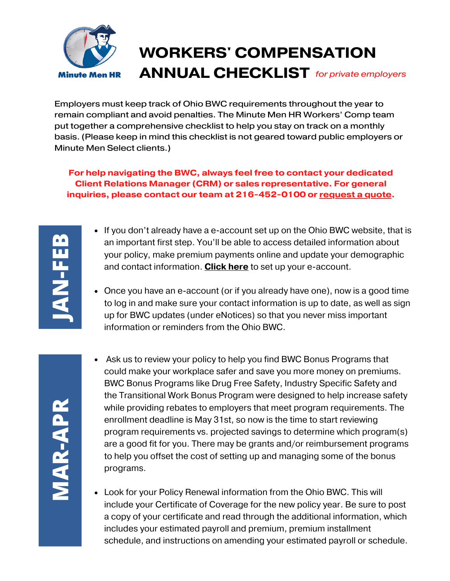

Employers must keep track of Ohio BWC requirements throughout the year to remain compliant and avoid penalties. The Minute Men HR Workers' Comp team put together a comprehensive checklist to help you stay on track on a monthly basis. (Please keep in mind this checklist is not geared toward public employers or Minute Men Select clients.)

**For help navigating the BWC, always feel free to contact your dedicated Client Relations Manager (CRM) or sales representative. For general inquiries, please contact our team at 216-452-0100 or [request](https://www.minutemenhr.com/request-quote.php) a quote.**

- If you don't already have a e-account set up on the Ohio BWC website, that is an important first step. You'll be able to access detailed information about your policy, make premium payments online and update your demographic and contact information. **[Click](https://info.bwc.ohio.gov/wps/portal/gov/bwc/for-employers/workers-compensation-overview/creating-employer-e-account) here** to set up your e-account.
- Once you have an e-account (or if you already have one), now is a good time to log in and make sure your contact information is up to date, as well as sign up for BWC updates (under eNotices) so that you never miss important information or reminders from the Ohio BWC.

- Ask us to review your policy to help you find BWC Bonus Programs that could make your workplace safer and save you more money on premiums. BWC Bonus Programs like Drug Free Safety, Industry Specific Safety and the Transitional Work Bonus Program were designed to help increase safety while providing rebates to employers that meet program requirements. The enrollment deadline is May 31st, so now is the time to start reviewing program requirements vs. projected savings to determine which program(s) are a good fit for you. There may be grants and/or reimbursement programs to help you offset the cost of setting up and managing some of the bonus programs.
- Look for your Policy Renewal information from the Ohio BWC. This will include your Certificate of Coverage for the new policy year. Be sure to post a copy of your certificate and read through the additional information, which includes your estimated payroll and premium, premium installment schedule, and instructions on amending your estimated payroll or schedule.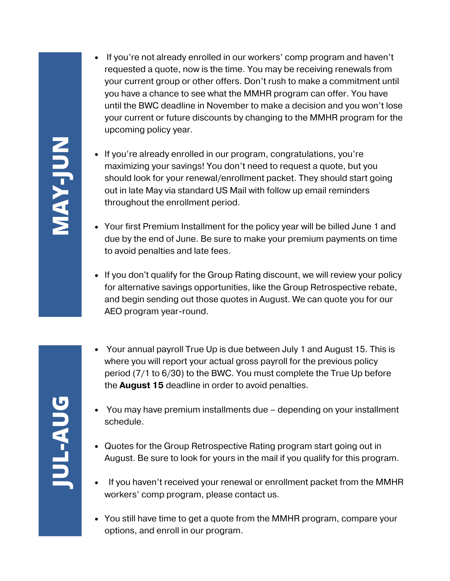- If you're not already enrolled in our workers' comp program and haven't requested a quote, now is the time. You may be receiving renewals from your current group or other offers. Don't rush to make a commitment until you have a chance to see what the MMHR program can offer. You have until the BWC deadline in November to make a decision and you won't lose your current or future discounts by changing to the MMHR program for the upcoming policy year.
- If you're already enrolled in our program, congratulations, you're maximizing your savings! You don't need to request a quote, but you should look for your renewal/enrollment packet. They should start going out in late May via standard US Mail with follow up email reminders throughout the enrollment period.
- Your first Premium Installment for the policy year will be billed June 1 and due by the end of June. Be sure to make your premium payments on time to avoid penalties and late fees.
- If you don't qualify for the Group Rating discount, we will review your policy for alternative savings opportunities, like the Group Retrospective rebate, and begin sending out those quotes in August. We can quote you for our AEO program year-round.
- Your annual payroll True Up is due between July 1 and August 15. This is where you will report your actual gross payroll for the previous policy period (7/1 to 6/30) to the BWC. You must complete the True Up before the **August 15** deadline in order to avoid penalties.
- You may have premium installments due depending on your installment schedule.
- Quotes for the Group Retrospective Rating program start going out in August. Be sure to look for yours in the mail if you qualify for this program.
- If you haven't received your renewal or enrollment packet from the MMHR workers' comp program, please contact us.
- You still have time to get a quote from the MMHR program, compare your options, and enroll in our program.